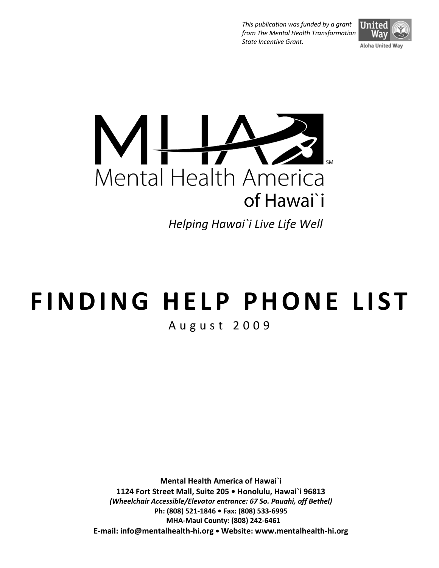*This publication was funded by a grant from The Mental Health Transformation State Incentive Grant.*





*Helping Hawai`i Live Life Well*

# **F I N D I N G H E L P PH O N E L I S T**

A u g u s t 2 0 0 9

**Mental Health America of Hawai`i 1124 Fort Street Mall, Suite 205 • Honolulu, Hawai`i 96813** *(Wheelchair Accessible/Elevator entrance: 67 So. Pauahi, off Bethel)* **Ph: (808) 521-1846 • Fax: (808) 533-6995 MHA-Maui County: (808) 242-6461 E-mail: info@mentalhealth-hi.org • Website: www.mentalhealth-hi.org**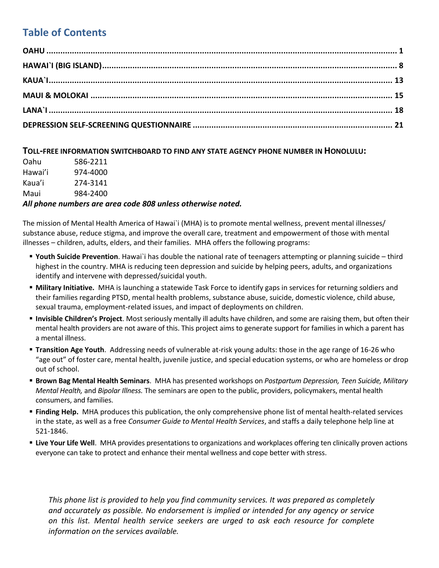# **Table of Contents**

#### **TOLL-FREE INFORMATION SWITCHBOARD TO FIND ANY STATE AGENCY PHONE NUMBER IN HONOLULU:**

| Oahu    | 586-2211 |
|---------|----------|
| Hawai'i | 974-4000 |
| Kaua'i  | 274-3141 |
| Maui    | 984-2400 |
|         |          |

#### *All phone numbers are area code 808 unless otherwise noted.*

The mission of Mental Health America of Hawai`i (MHA) is to promote mental wellness, prevent mental illnesses/ substance abuse, reduce stigma, and improve the overall care, treatment and empowerment of those with mental illnesses – children, adults, elders, and their families. MHA offers the following programs:

- **Youth Suicide Prevention**. Hawai`i has double the national rate of teenagers attempting or planning suicide third highest in the country. MHA is reducing teen depression and suicide by helping peers, adults, and organizations identify and intervene with depressed/suicidal youth.
- **Military Initiative.** MHA is launching a statewide Task Force to identify gaps in services for returning soldiers and their families regarding PTSD, mental health problems, substance abuse, suicide, domestic violence, child abuse, sexual trauma, employment-related issues, and impact of deployments on children.
- **Invisible Children's Project**. Most seriously mentally ill adults have children, and some are raising them, but often their mental health providers are not aware of this. This project aims to generate support for families in which a parent has a mental illness.
- **Transition Age Youth**. Addressing needs of vulnerable at-risk young adults: those in the age range of 16-26 who "age out" of foster care, mental health, juvenile justice, and special education systems, or who are homeless or drop out of school.
- **Brown Bag Mental Health Seminars**.MHA has presented workshops on *Postpartum Depression, Teen Suicide, Military Mental Health,* and *Bipolar Illness.* The seminars are open to the public, providers, policymakers, mental health consumers, and families.
- **Finding Help.** MHA produces this publication, the only comprehensive phone list of mental health-related services in the state, as well as a free *Consumer Guide to Mental Health Services*, and staffs a daily telephone help line at 521-1846.
- **Live Your Life Well**. MHA provides presentations to organizations and workplaces offering ten clinically proven actions everyone can take to protect and enhance their mental wellness and cope better with stress.

*This phone list is provided to help you find community services. It was prepared as completely and accurately as possible. No endorsement is implied or intended for any agency or service on this list. Mental health service seekers are urged to ask each resource for complete information on the services available.*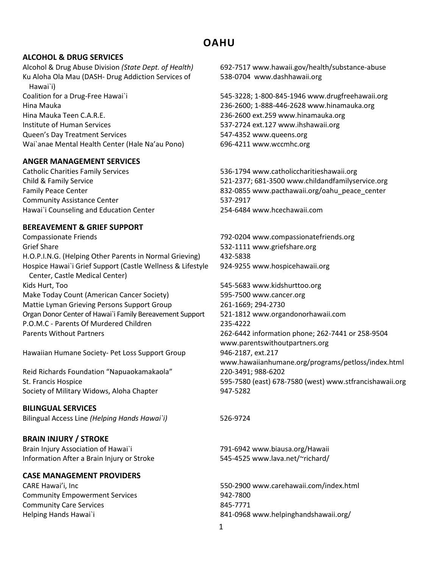# **OAHU**

#### <span id="page-2-0"></span>**ALCOHOL & DRUG SERVICES**

Alcohol & Drug Abuse Division *(State Dept. of Health)* 692-7517 [www.hawaii.gov/health/substance-abuse](http://www.hawaii.gov/health/substance-abuse) Ku Aloha Ola Mau (DASH- Drug Addiction Services of Hawai`i) Coalition for a Drug-Free Hawai`i 545-3228; 1-800-845-1946 [www.drugfreehawaii.org](http://www.drugfreehawaii.org/) Hina Mauka 236-2600; 1-888-446-2628 [www.hinamauka.org](http://www.hinamauka.org/) Hina Mauka Teen C.A.R.E. 236-2600 ext.259 [www.hinamauka.org](http://www.hinamauka.org/) Institute of Human Services 537-2724 ext.127 [www.ihshawaii.org](http://www.ihshawaii.org/) Queen's Day Treatment Services 647-4352 [www.queens.org](http://www.queens.org/) Wai`anae Mental Health Center (Hale Na'au Pono) 696-4211 [www.wccmhc.org](http://www.wccmhc.org/)

#### **ANGER MANAGEMENT SERVICES**

Community Assistance Center 537-2917 Hawai`i Counseling and Education Center 254-6484 [www.hcechawaii.com](http://www.hcechawaii.com/)

#### **BEREAVEMENT & GRIEF SUPPORT**

Compassionate Friends 792-0204 [www.compassionatefriends.org](http://www.compassionatefriends.org/) Grief Share 532-1111 [www.griefshare.org](http://www.griefshare.org/) H.O.P.I.N.G. (Helping Other Parents in Normal Grieving) 432-5838 Hospice Hawai`i Grief Support (Castle Wellness & Lifestyle Center, Castle Medical Center) Kids Hurt, Too 545-5683 [www.kidshurttoo.org](http://www.kidshurttoo.org/) Make Today Count (American Cancer Society) 595-7500 [www.cancer.org](http://www.cancer.org/) Mattie Lyman Grieving Persons Support Group 261-1669; 294-2730 Organ Donor Center of Hawai`i Family Bereavement Support 521-1812 [www.organdonorhawaii.com](http://www.organdonorhawaii.com/) P.O.M.C - Parents Of Murdered Children 235-4222 Parents Without Partners 262-6442 information phone; 262-7441 or 258-9504

Hawaiian Humane Society- Pet Loss Support Group 946-2187, ext.217

Reid Richards Foundation "Napuaokamakaola" 220-3491; 988-6202 Society of Military Widows, Aloha Chapter 947-5282

#### **BILINGUAL SERVICES**

Bilingual Access Line *(Helping Hands Hawai`i)* 526-9724

#### **BRAIN INJURY / STROKE**

Brain Injury Association of Hawai`i 791-6942 [www.biausa.org/Hawaii](http://www.biausa.org/Hawaii) Information After a Brain Injury or Stroke 545-4525 [www.lava.net/~richard/](http://www.lava.net/~richard/)

#### **CASE MANAGEMENT PROVIDERS**

Community Empowerment Services Community Care Services

538-0704 [www.dashhawaii.org](http://www.dashhawaii.org/)

Catholic Charities Family Services 536-1794 [www.catholiccharitieshawaii.org](http://www.catholiccharitieshawaii.org/) Child & Family Service 521-2377; 681-3500 [www.childandfamilyservice.org](http://www.childandfamilyservice.org/) Family Peace Center **832-0855** [www.pacthawaii.org/oahu\\_peace\\_center](http://www.pacthawaii.org/oahu_peace_center)

924-9255 [www.hospicehawaii.org](http://www.hospicehawaii.org/)

[www.parentswithoutpartners.org](http://www.parentswithoutpartners.org/) [www.hawaiianhumane.org/programs/petloss/index.html](http://www.hawaiianhumane.org/programs/petloss/index.html) St. Francis Hospice 595-7580 (east) 678-7580 (west) [www.stfrancishawaii.org](http://www.stfrancishawaii.org/)

CARE Hawai'i, Inc 550-2900 [www.carehawaii.com/index.html](http://www.carehawaii.com/index.html) 942-7800 845-7771 Helping Hands Hawai`i 841-0968 [www.helpinghandshawaii.org/](http://www.helpinghandshawaii.org/)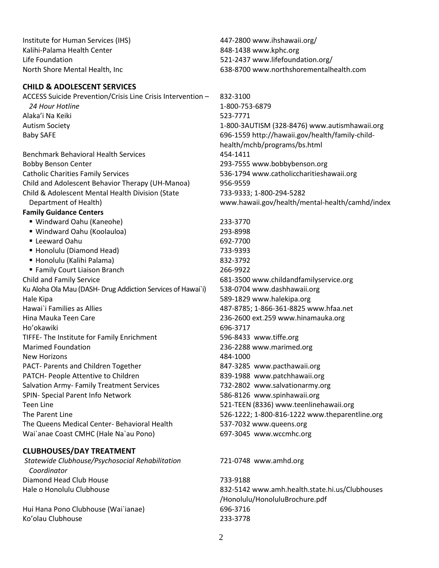Institute for Human Services (IHS) 447-2800 [www.ihshawaii.org/](http://www.ihshawaii.org/) Kalihi-Palama Health Center **848-1438** [www.kphc.org](http://www.kphc.org/) Life Foundation 521-2437 [www.lifefoundation.org/](http://www.lifefoundation.org/) North Shore Mental Health, Inc 638-8700 [www.northshorementalhealth.com](http://www.northshorementalhealth.com/)

#### **CHILD & ADOLESCENT SERVICES**

*Coordinator*

ACCESS Suicide Prevention/Crisis Line Crisis Intervention – *24 Hour Hotline*  832-3100 1-800-753-6879 Alaka'i Na Keiki 523-7771 Autism Society 1-800-3AUTISM (328-8476) [www.autismhawaii.org](http://www.autismhawaii.org/) Baby SAFE 696-1559 [http://hawaii.gov/health/family-child](http://hawaii.gov/health/family-child-health/mchb/programs/bs.html)[health/mchb/programs/bs.html](http://hawaii.gov/health/family-child-health/mchb/programs/bs.html) Benchmark Behavioral Health Services 454-1411 Bobby Benson Center 293-7555 [www.bobbybenson.org](http://www.bobbybenson.org/) Catholic Charities Family Services 536-1794 [www.catholiccharitieshawaii.org](http://www.catholiccharitieshawaii.org/) Child and Adolescent Behavior Therapy (UH-Manoa) 956-9559 Child & Adolescent Mental Health Division (State Department of Health) **Family Guidance Centers** 733-9333; 1-800-294-5282 [www.hawaii.gov/health/mental-health/camhd/index](http://www.hawaii.gov/health/mental-health/camhd/index) Windward Oahu (Kaneohe) 233-3770 Windward Oahu (Koolauloa) 293-8998 ■ Leeward Oahu 692-7700 ■ Honolulu (Diamond Head) 733-9393 Honolulu (Kalihi Palama) 832-3792 ■ Family Court Liaison Branch 266-9922 Child and Family Service 681-3500 [www.childandfamilyservice.org](http://www.childandfamilyservice.org/) Ku Aloha Ola Mau (DASH- Drug Addiction Services of Hawai`i) 538-0704 [www.dashhawaii.org](http://www.dashhawaii.org/) Hale Kipa 589-1829 [www.halekipa.org](http://www.halekipa.org/) Hawai`i Families as Allies 487-8785; 1-866-361-8825 [www.hfaa.net](http://www.hfaa.net/) Hina Mauka Teen Care 236-2600 ext.259 [www.hinamauka.org](http://www.hinamauka.org/) Ho'okawiki 696-3717 TIFFE- The Institute for Family Enrichment 596-8433 [www.tiffe.org](http://www.tiffe.org/) Marimed Foundation 236-2288 [www.marimed.org](http://www.marimed.org/) New Horizons 2008 2009 12:00 12:00 12:00 12:00 12:00 12:00 12:00 12:00 12:00 12:00 12:00 12:00 12:00 12:00 12:00 12:00 12:00 12:00 12:00 12:00 12:00 12:00 12:00 12:00 12:00 12:00 12:00 12:00 12:00 12:00 12:00 12:00 12:00 1 PACT- Parents and Children Together 847-3285 [www.pacthawaii.org](http://www.pacthawaii.org/) PATCH- People Attentive to Children 839-1988 [www.patchhawaii.org](http://www.patchhawaii.org/) Salvation Army- Family Treatment Services 732-2802 [www.salvationarmy.org](http://www.salvationarmy.org/) SPIN- Special Parent Info Network 686-8126 [www.spinhawaii.org](http://www.spinhawaii.org/) Teen Line 521-TEEN (8336) [www.teenlinehawaii.org](http://www.teenlinehawaii.org/) The Parent Line 526-1222; 1-800-816-1222 [www.theparentline.org](http://www.theparentline.org/) The Queens Medical Center- Behavioral Health 537-7032 [www.queens.org](http://www.queens.org/) Wai`anae Coast CMHC (Hale Na`au Pono) 697-3045 [www.wccmhc.org](http://www.wccmhc.org/) **CLUBHOUSES/DAY TREATMENT** *Statewide Clubhouse/Psychosocial Rehabilitation*  721-0748 [www.amhd.org](http://www.amhd.org/)

Diamond Head Club House 733-9188 Hale o Honolulu Clubhouse 832-5142 [www.amh.health.state.hi.us/Clubhouses](http://www.amh.health.state.hi.us/Clubhouses%20/Honolulu/HonoluluBrochure.pdf) [/Honolulu/HonoluluBrochure.pdf](http://www.amh.health.state.hi.us/Clubhouses%20/Honolulu/HonoluluBrochure.pdf) Hui Hana Pono Clubhouse (Wai`ianae) 696-3716 Ko'olau Clubhouse 233-3778

2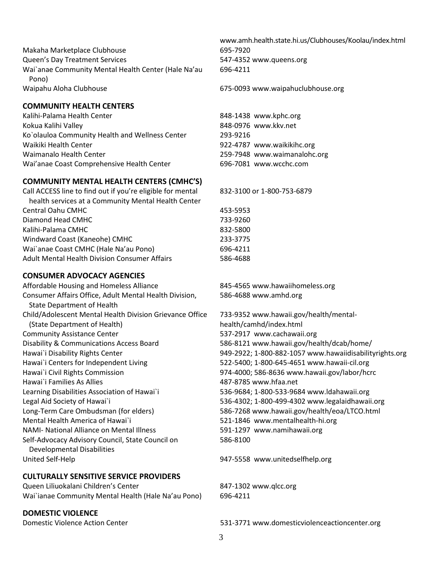Makaha Marketplace Clubhouse 695-7920 Queen's Day Treatment Services 647-4352 [www.queens.org](http://www.queens.org/) Wai`anae Community Mental Health Center (Hale Na'au Pono) Waipahu Aloha Clubhouse 675-0093 [www.waipahuclubhouse.org](http://www.waipahuclubhouse.org/)

#### **COMMUNITY HEALTH CENTERS**

Kalihi-Palama Health Center **848-1438** [www.kphc.org](http://www.kphc.org/) Kokua Kalihi Valley 848-0976 [www.kkv.net](http://www.kkv.net/) Ko`olauloa Community Health and Wellness Center 293-9216 Waikiki Health Center **1922-4787** [www.waikikihc.org](http://www.waikikihc.org/) Waimanalo Health Center 259-7948 [www.waimanalohc.org](http://www.waimanalohc.org/) Wai'anae Coast Comprehensive Health Center 696-7081 [www.wcchc.com](http://www.wcchc.com/)

#### **COMMUNITY MENTAL HEALTH CENTERS (CMHC'S)**

Call ACCESS line to find out if you're eligible for mental health services at a Community Mental Health Center Central Oahu CMHC Diamond Head CMHC Kalihi-Palama CMHC Windward Coast (Kaneohe) CMHC Wai`anae Coast CMHC (Hale Na'au Pono) Adult Mental Health Division Consumer Affairs

#### **CONSUMER ADVOCACY AGENCIES**

Affordable Housing and Homeless Alliance 845-4565 [www.hawaiihomeless.org](http://www.hawaiihomeless.org/) Consumer Affairs Office, Adult Mental Health Division, State Department of Health Child/Adolescent Mental Health Division Grievance Office (State Department of Health) Community Assistance Center 637-2917 [www.cachawaii.org](http://www.cachawaii.org/) Disability & Communications Access Board 586-8121 [www.hawaii.gov/health/dcab/home/](http://www.hawaii.gov/health/dcab/home/) Hawai`i Centers for Independent Living 522-5400; 1-800-645-465[1 www.hawaii-cil.org](http://www.hawaii-cil.org/) Hawai`i Civil Rights Commission 974-4000; 586-863[6 www.hawaii.gov/labor/hcrc](http://www.hawaii.gov/labor/hcrc) Hawai`i Families As Allies 487-8785 [www.hfaa.net](http://www.hfaa.net/) Learning Disabilities Association of Hawai`i 536-9684; 1-800-533-9684 [www.ldahawaii.org](http://www.ldahawaii.org/) Legal Aid Society of Hawai`i 536-4302; 1-800-499-4302 [www.legalaidhawaii.org](http://www.legalaidhawaii.org/) Long-Term Care Ombudsman (for elders) 586-7268 [www.hawaii.gov/health/eoa/LTCO.html](http://www.hawaii.gov/health/eoa/LTCO.html) Mental Health America of Hawai`i 521-1846 [www.mentalhealth-hi.org](http://www.mentalhealth-hi.org/) NAMI- National Alliance on Mental Illness 591-1297 [www.namihawaii.org](http://www.namihawaii.org/) Self-Advocacy Advisory Council, State Council on Developmental Disabilities United Self-Help 947-5558 [www.unitedselfhelp.org](http://www.unitedselfhelp.org/)

#### **CULTURALLY SENSITIVE SERVICE PROVIDERS**

Queen Liliuokalani Children's Center 847-1302 [www.qlcc.org](http://www.qlcc.org/) Wai`ianae Community Mental Health (Hale Na'au Pono) 696-4211

#### **DOMESTIC VIOLENCE**

[www.amh.health.state.hi.us/Clubhouses/Koolau/index.html](http://www.amh.health.state.hi.us/Clubhouses/Koolau/index.html) 696-4211

832-3100 or 1-800-753-6879

| 453-5953 |
|----------|
| 733-9260 |
| 832-5800 |
| 233-3775 |
| 696-4211 |
| 586-4688 |

586-4688 [www.amhd.org](http://www.amhd.org/)

733-9352 www[.hawaii.gov/health/mental](http://hawaii.gov/health/mental-health/camhd/index.html)[health/camhd/index.html](http://hawaii.gov/health/mental-health/camhd/index.html) Hawai`i Disability Rights Center 949-2922; 1-800-882-1057 [www.hawaiidisabilityrights.org](http://www.hawaiidisabilityrights.org/) 586-8100

Domestic Violence Action Center 531-3771 [www.domesticviolenceactioncenter.org](http://www.domesticviolenceactioncenter.org/)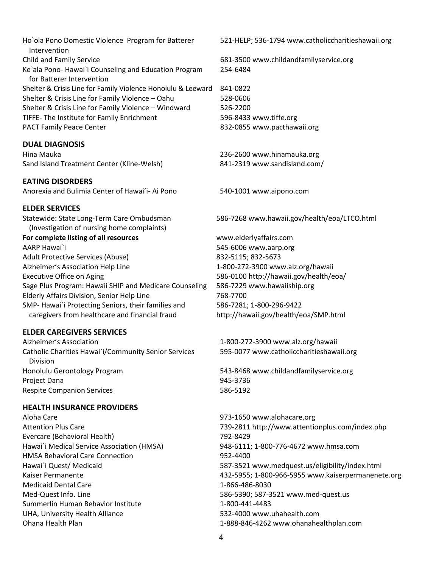Ho`ola Pono Domestic Violence Program for Batterer Intervention Child and Family Service 681-3500 [www.childandfamilyservice.org](http://www.childandfamilyservice.org/) Ke`ala Pono- Hawai`i Counseling and Education Program for Batterer Intervention Shelter & Crisis Line for Family Violence Honolulu & Leeward 841-0822 Shelter & Crisis Line for Family Violence – Oahu 528-0606 Shelter & Crisis Line for Family Violence – Windward 526-2200 TIFFE- The Institute for Family Enrichment 596-8433 [www.tiffe.org](http://www.tiffe.org/) PACT Family Peace Center 832-0855 [www.pacthawaii.org](http://www.pacthawaii.org/)

#### **DUAL DIAGNOSIS**

Hina Mauka 236-2600 [www.hinamauka.org](http://www.hinamauka.org/) Sand Island Treatment Center (Kline-Welsh) 841-2319 [www.sandisland.com/](http://www.sandisland.com/)

#### **EATING DISORDERS**

Anorexia and Bulimia Center of Hawai'i- Ai Pono 540-1001 [www.aipono.com](http://www.aipono.com/)

#### **ELDER SERVICES**

Statewide: State Long-Term Care Ombudsman (Investigation of nursing home complaints) **For complete listing of all resources** AARP Hawai`i 545-6006 [www.aarp.org](http://www.aarp.org/) Adult Protective Services (Abuse) 832-5115; 832-5673 Alzheimer's Association Help Line 1-800-272-3900 [www.alz.org/hawaii](http://www.alz.org/hawaii) Executive Office on Aging 586-0100 <http://hawaii.gov/health/eoa/> Sage Plus Program: Hawaii SHIP and Medicare Counseling 586-7229 www.hawaiiship.org Elderly Affairs Division, Senior Help Line 768-7700 SMP- Hawai`i Protecting Seniors, their families and caregivers from healthcare and financial fraud

#### **ELDER CAREGIVERS SERVICES**

Alzheimer's Association 1-800-272-3900 [www.alz.org/hawaii](http://www.alz.org/hawaii) Catholic Charities Hawai`i/Community Senior Services Division Honolulu Gerontology Program 543-8468 [www.childandfamilyservice.org](http://www.childandfamilyservice.org/) Project Dana 945-3736 Respite Companion Services 686-5192

#### **HEALTH INSURANCE PROVIDERS**

Aloha Care 973-1650 [www.alohacare.org](http://www.alohacare.org/) Evercare (Behavioral Health) 792-8429 Hawai`i Medical Service Association (HMSA) 948-6111; 1-800-776-4672 [www.hmsa.com](http://www.hmsa.com/) HMSA Behavioral Care Connection Hawai`i Quest/ Medicaid Medicaid Dental Care 1-866-486-8030 Med-Quest Info. Line 586-5390; 587-352[1 www.med-quest.us](http://www.med-quest.us/) Summerlin Human Behavior Institute 1-800-441-4483 UHA, University Health Alliance Ohana Health Plan

521-HELP; 536-1794 [www.catholiccharitieshawaii.org](http://www.catholiccharitieshawaii.org/)

254-6484

586-7268 [www.hawaii.gov/health/eoa/LTCO.html](http://www.hawaii.gov/health/eoa/LTCO.html) 

[www.elderlyaffairs.com](http://www.elderlyaffairs.com/) 586-7281; 1-800-296-9422 <http://hawaii.gov/health/eoa/SMP.html>

595-0077 [www.catholiccharitieshawaii.org](http://www.catholiccharitieshawaii.org/)

Attention Plus Care 739-2811<http://www.attentionplus.com/index.php> 952-4400 587-3521 [www.medquest.us/eligibility/index.html](http://www.medquest.us/eligibility/index.html) Kaiser Permanente 432-5955; 1-800-966-5955 [www.kaiserpermanenete.org](http://www.kaiserpermanenete.org/) 532-4000 [www.uhahealth.com](http://www.uhahealth.com/) 1-888-846-4262 www.ohanahealthplan.com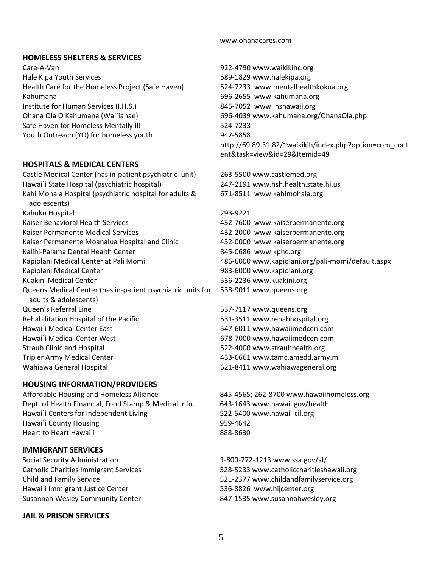#### www.ohanacares.com

#### **HOMELESS SHELTERS & SERVICES**

Care-A-Van 922-4790 [www.waikikihc.org](http://www.waikikihc.org/) Hale Kipa Youth Services 589-1829 [www.halekipa.org](http://www.halekipa.org/) Health Care for the Homeless Project (Safe Haven) 524-7233 [www.mentalhealthkokua.org](http://www.mentalhealthkokua.org/) Kahumana 696-2655 [www.kahumana.org](http://www.kahumana.org/) Institute for Human Services (I.H.S.) 845-7052 [www.ihshawaii.org](http://www.ihshawaii.org/) Ohana Ola O Kahumana (Wai`ianae) 696-4039 [www.kahumana.org/OhanaOla.php](http://www.kahumana.org/OhanaOla.php) Safe Haven for Homeless Mentally III **Safe Haven for Homeless Mentally III** 624-7233 Youth Outreach (YO) for homeless youth 942-5858

#### **HOSPITALS & MEDICAL CENTERS**

Castle Medical Center (has in-patient psychiatric unit) 263-5500 [www.castlemed.org](http://www.castlemed.org/) Hawai`i State Hospital (psychiatric hospital) 247-2191 [www.hsh.health.state.hi.us](http://www.hsh.health.state.hi.us/) Kahi Mohala Hospital (psychiatric hospital for adults & adolescents) Kahuku Hospital 293-9221 Kaiser Behavioral Health Services 432-7600 [www.kaiserpermanente.org](http://www.kaiserpermanente.org/) Kaiser Permanente Medical Services 432-2000 [www.kaiserpermanente.org](http://www.kaiserpermanente.org/) Kaiser Permanente Moanalua Hospital and Clinic 432-0000 [www.kaiserpermanente.org](http://www.kaiserpermanente.org/) Kalihi-Palama Dental Health Center 1992 1994 1995-0686 [www.kphc.org](http://www.kphc.org/) Kapiolani Medical Center at Pali Momi 486-6000 [www.kapiolani.org/pali-momi/default.aspx](http://www.kapiolani.org/pali-momi/default.aspx) Kapiolani Medical Center **1983-6000 kapiolani.org** 983-6000 [www.kapiolani.org](http://www.kapiolani.org/) Kuakini Medical Center 536-2236 [www.kuakini.org](http://www.kuakini.org/) Queens Medical Center (has in-patient psychiatric units for adults & adolescents) Queen's Referral Line 537-7117 [www.queens.org](http://www.queens.org/) Rehabilitation Hospital of the Pacific The Contract to the S31-3511 [www.rehabhospital.org](http://www.rehabhospital.org/) Hawai`i Medical Center East 547-6011 [www.hawaiimedcen.com](http://www.hawaiimedcen.com/) Hawai`i Medical Center West 678-7000 [www.hawaiimedcen.com](http://www.hawaiimedcen.com/) Straub Clinic and Hospital 522-4000 [www.straubhealth.org](http://www.straubhealth.org/) Tripler Army Medical Center 433-6661 [www.tamc.amedd.army.mil](http://www.tamc.amedd.army.mil/) Wahiawa General Hospital **621-8411 [www.wahiawageneral.org](http://www.wahiawageneral.org/)** 621-8411 www.wahiawageneral.org

#### **HOUSING INFORMATION/PROVIDERS**

Affordable Housing and Homeless Alliance 845-4565; 262-870[0 www.hawaiihomeless.org](http://www.hawaiihomeless.org/) Dept. of Health Financial, Food Stamp & Medical Info. 643-1643 [www.hawaii.gov/health](http://www.hawaii.gov/health) Hawai`i Centers for Independent Living 522-5400 [www.hawaii-cil.org](http://www.hawaii-cil.org/) Hawai`i County Housing example 10 and 10 and 10 and 10 and 10 and 10 and 10 and 10 and 10 and 10 and 10 and 10 Heart to Heart Hawai`i 888-8630

#### **IMMIGRANT SERVICES**

Social Security Administration 1-800-772-1213 [www.ssa.gov/sf/](http://www.ssa.gov/sf/) Hawai`i Immigrant Justice Center 536-8826 [www.hijcenter.org](http://www.hijcenter.org/) Susannah Wesley Community Center 847-1535 [www.susannahwesley.org](http://www.susannahwesley.org/)

#### **JAIL & PRISON SERVICES**

[http://69.89.31.82/~waikikih/index.php?option=com\\_cont](http://69.89.31.82/~waikikih/index.php?option=com_content&task=view&id=29&Itemid=49) [ent&task=view&id=29&Itemid=49](http://69.89.31.82/~waikikih/index.php?option=com_content&task=view&id=29&Itemid=49)

671-8511 [www.kahimohala.org](http://www.kahimohala.org/)

538-9011 [www.queens.org](http://www.queens.org/)

Catholic Charities Immigrant Services 528-5233 [www.catholiccharitieshawaii.org](http://www.catholiccharitieshawaii.org/) Child and Family Service 521-2377 [www.childandfamilyservice.org](http://www.childandfamilyservice.org/)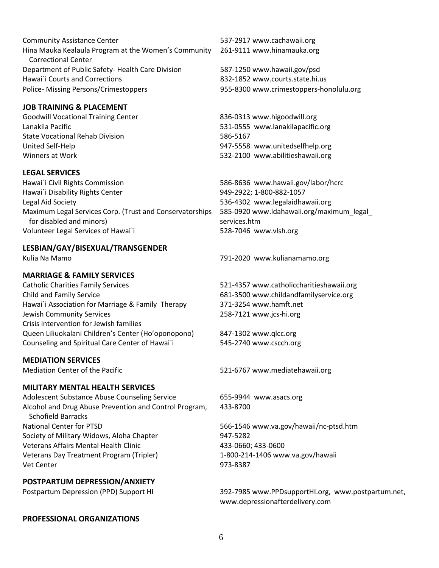Community Assistance Center 1992 1993 1994 1995 1997-2917 [www.cachawaii.org](http://www.cachawaii.org/) Hina Mauka Kealaula Program at the Women's Community Correctional Center Department of Public Safety- Health Care Division 587-1250 [www.hawaii.gov/psd](http://www.hawaii.gov/psd) Hawai`i Courts and Corrections 832-1852 [www.courts.state.hi.us](http://www.courts.state.hi.us/) Police- Missing Persons/Crimestoppers 955-8300 [www.crimestoppers-honolulu.org](http://www.crimestoppers-honolulu.org/)

### **JOB TRAINING & PLACEMENT**

Goodwill Vocational Training Center 836-0313 [www.higoodwill.org](http://www.higoodwill.org/) Lanakila Pacific 531-0555 [www.lanakilapacific.org](http://www.lanakilapacific.org/) State Vocational Rehab Division 586-5167 United Self-Help 947-5558 [www.unitedselfhelp.org](http://www.unitedselfhelp.org/) Winners at Work **622-2100 [www.abilitieshawaii.org](http://www.abilitieshawaii.org/)** 532-2100 www.abilitieshawaii.org

#### **LEGAL SERVICES**

Hawai`i Civil Rights Commission 586-8636 [www.hawaii.gov/labor/hcrc](http://www.hawaii.gov/labor/hcrc) Hawai`i Disability Rights Center 1998-2022; 1-800-882-1057 Legal Aid Society 536-4302 [www.legalaidhawaii.org](http://www.legalaidhawaii.org/) Maximum Legal Services Corp. (Trust and Conservatorships for disabled and minors) Volunteer Legal Services of Hawai`i 528-7046 [www.vlsh.org](http://www.vlsh.org/)

#### **LESBIAN/GAY/BISEXUAL/TRANSGENDER**

#### **MARRIAGE & FAMILY SERVICES**

Catholic Charities Family Services 521-4357 [www.catholiccharitieshawaii.org](http://www.catholiccharitieshawaii.org/) Child and Family Service 681-3500 [www.childandfamilyservice.org](http://www.childandfamilyservice.org/) Hawai`i Association for Marriage & Family Therapy 371-3254 [www.hamft.net](http://www.hamft.net/) Jewish Community Services Crisis intervention for Jewish families Queen Liliuokalani Children's Center (Ho'oponopono) 847-1302 [www.qlcc.org](http://www.qlcc.org/) Counseling and Spiritual Care Center of Hawai`i 545-2740 [www.cscch.org](http://www.cscch.org/)

### **MEDIATION SERVICES**

#### **MILITARY MENTAL HEALTH SERVICES**

Adolescent Substance Abuse Counseling Service 655-9944 www.asacs.org Alcohol and Drug Abuse Prevention and Control Program, Schofield Barracks National Center for PTSD 665-1546 [www.va.gov/hawaii/nc-ptsd.htm](http://www.va.gov/hawaii/nc-ptsd.htm) Society of Military Widows, Aloha Chapter 947-5282 Veterans Affairs Mental Health Clinic Veterans Day Treatment Program (Tripler) Vet Center 2008 2009 12:00 12:00 12:00 12:00 12:00 12:00 12:00 12:00 12:00 12:00 12:00 12:00 12:00 12:00 12:00

### **POSTPARTUM DEPRESSION/ANXIETY**

| Postpartum Depression (PPD) Support HI |  |  |
|----------------------------------------|--|--|
|----------------------------------------|--|--|

#### **PROFESSIONAL ORGANIZATIONS**

261-9111 [www.hinamauka.org](http://www.hinamauka.org/)

585-0920 [www.ldahawaii.org/maximum\\_legal\\_](http://www.ldahawaii.org/maximum_legal_) services.htm

Kulia Na Mamo 791-2020 [www.kulianamamo.org](http://www.kulianamamo.org/)

258-7121 [www.jcs-hi.org](http://www.jcs-hi.org/)

Mediation Center of the Pacific **521-6767** [www.mediatehawaii.org](http://www.mediatehawaii.org/)

433-8700

433-0660; 433-0600 1-800-214-1406 [www.va.gov/hawaii](http://www.va.gov/hawaii)

Postpartum Depression (PPD) Support HI 392-7985 [www.PPDsupportHI.org,](http://www.ppdsupporthi.org/) [www.postpartum.net,](http://www.postpartum.net/) [www.depressionafterdelivery.com](http://www.depressionafterdelivery.com/)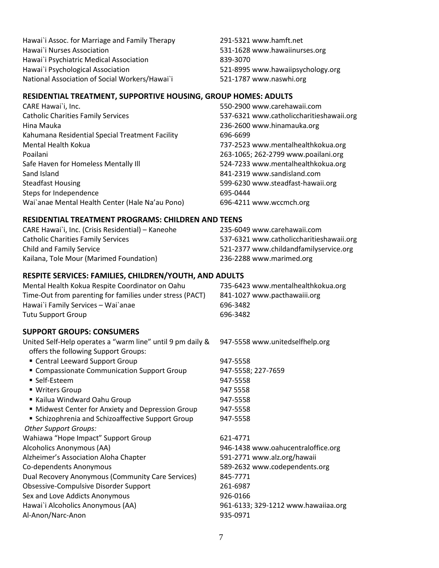Hawai`i Assoc. for Marriage and Family Therapy 291-5321 [www.hamft.net](http://www.hamft.net/) Hawai`i Nurses Association 531-1628 [www.hawaiinurses.org](http://www.hawaiinurses.org/) Hawai`i Psychiatric Medical Association 839-3070 Hawai`i Psychological Association 521-8995 [www.hawaiipsychology.org](http://www.hawaiipsychology.org/) National Association of Social Workers/Hawai`i 521-1787 [www.naswhi.org](http://www.naswhi.org/)

#### **RESIDENTIAL TREATMENT, SUPPORTIVE HOUSING, GROUP HOMES: ADULTS**

CARE Hawai`i, Inc. 550-2900 [www.carehawaii.com](http://www.carehawaii.com/) Catholic Charities Family Services 537-6321 [www.catholiccharitieshawaii.org](http://www.catholiccharitieshawaii.org/) Hina Mauka 236-2600 [www.hinamauka.org](http://www.hinamauka.org/) Kahumana Residential Special Treatment Facility 696-6699 Mental Health Kokua 737-2523 [www.mentalhealthkokua.org](http://www.mentalhealthkokua.org/) Poailani 263-1065; 262-279[9 www.poailani.org](http://www.poailani.org/) Safe Haven for Homeless Mentally III and Safe Haven the S24-7233 [www.mentalhealthkokua.org](http://www.mentalhealthkokua.org/) Sand Island 841-2319 [www.sandisland.com](http://www.sandisland.com/) Steadfast Housing 599-6230 [www.steadfast-hawaii.org](http://www.steadfast-hawaii.org/) Steps for Independence 695-0444 Wai`anae Mental Health Center (Hale Na'au Pono) 696-4211 [www.wccmch.org](http://www.wccmch.org/)

#### **RESIDENTIAL TREATMENT PROGRAMS: CHILDREN AND TEENS**

CARE Hawai`i, Inc. (Crisis Residential) – Kaneohe 235-6049 [www.carehawaii.com](http://www.carehawaii.com/) Catholic Charities Family Services 537-6321 [www.catholiccharitieshawaii.org](http://www.catholiccharitieshawaii.org/) Child and Family Service 521-2377 [www.childandfamilyservice.org](http://www.childandfamilyservice.org/) Kailana, Tole Mour (Marimed Foundation) 236-2288 [www.marimed.org](http://www.marimed.org/)

#### **RESPITE SERVICES: FAMILIES, CHILDREN/YOUTH, AND ADULTS**

| Mental Health Kokua Respite Coordinator on Oahu          | 735-6423 www.m  |
|----------------------------------------------------------|-----------------|
| Time-Out from parenting for families under stress (PACT) | 841-1027 www.pa |
| Hawai`i Family Services - Wai`anae                       | 696-3482        |
| Tutu Support Group                                       | 696-3482        |

#### **SUPPORT GROUPS: CONSUMERS**

| United Self-Help operates a "warm line" until 9 pm daily & |  |  |
|------------------------------------------------------------|--|--|
| offers the following Support Groups:                       |  |  |

- Central Leeward Support Group 947-5558
- **Compassionate Communication Support Group** 947-5558; 227-7659
- Self-Esteem
- Writers Group
- Kailua Windward Oahu Group
- **Midwest Center for Anxiety and Depression Group**
- **Schizophrenia and Schizoaffective Support Group** 947-5558 *Other Support Groups:*

Wahiawa "Hope Impact" Support Group 621-4771

Dual Recovery Anonymous (Community Care Services) 845-7771

Obsessive-Compulsive Disorder Support 261-6987

Sex and Love Addicts Anonymous 926-0166

Al-Anon/Narc-Anon 935-0971

ental health kokua.org acthawaiii.org

947-5558 [www.unitedselfhelp.org](http://www.unitedselfhelp.org/)

947-5558 947 5558

947-5558 947-5558

Alcoholics Anonymous (AA) 946-1438 [www.oahucentraloffice.org](http://www.oahucentraloffice.org/) Alzheimer's Association Aloha Chapter 591-2771 [www.alz.org/hawaii](http://www.alz.org/hawaii) Co-dependents Anonymous 589-2632 [www.codependents.org](http://www.codependents.org/) Hawai`i Alcoholics Anonymous (AA) 961-6133; 329-1212 [www.hawaiiaa.org](http://www.hawaiiaa.org/)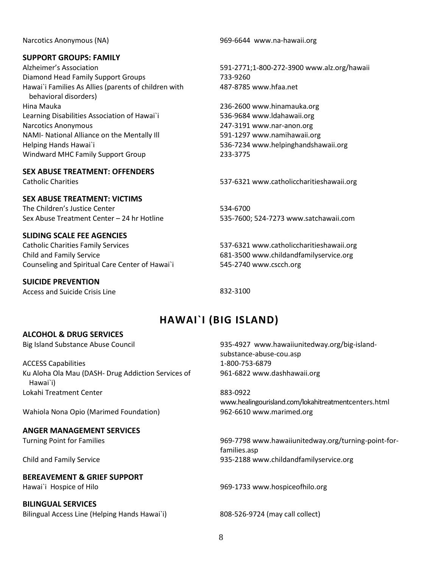#### **SUPPORT GROUPS: FAMILY**

Diamond Head Family Support Groups 733-9260 Hawai`i Families As Allies (parents of children with behavioral disorders) Hina Mauka 236-2600 [www.hinamauka.org](http://www.hinamauka.org/) Learning Disabilities Association of Hawai`i 536-9684 [www.ldahawaii.org](http://www.ldahawaii.org/) Narcotics Anonymous 247-3191 [www.nar-anon.org](http://www.nar-anon.org/) NAMI- National Alliance on the Mentally Ill 591-1297 [www.namihawaii.org](http://www.namihawaii.org/) Helping Hands Hawai`i 536-7234 [www.helpinghandshawaii.org](http://www.helpinghandshawaii.org/) Windward MHC Family Support Group 233-3775

**SEX ABUSE TREATMENT: OFFENDERS**

#### **SEX ABUSE TREATMENT: VICTIMS**

The Children's Justice Center 534-6700 Sex Abuse Treatment Center – 24 hr Hotline 535-7600; 524-7273 [www.satchawaii.com](http://www.satchawaii.com/)

#### **SLIDING SCALE FEE AGENCIES**

Catholic Charities Family Services 537-6321 [www.catholiccharitieshawaii.org](http://www.catholiccharitieshawaii.org/) Child and Family Service 681-3500 [www.childandfamilyservice.org](http://www.childandfamilyservice.org/) Counseling and Spiritual Care Center of Hawai`i 545-2740 [www.cscch.org](http://www.cscch.org/)

#### **SUICIDE PREVENTION**

<span id="page-9-0"></span>Access and Suicide Crisis Line 832-3100

Narcotics Anonymous (NA) 969-6644 [www.na-hawaii.org](http://www.na-hawaii.org/)

Alzheimer's Association 591-2771;1-800-272-3900 [www.alz.org/hawaii](http://www.alz.org/hawaii) 487-8785 [www.hfaa.net](http://www.hfaa.net/)

Catholic Charities 537-6321 [www.catholiccharitieshawaii.org](http://www.catholiccharitieshawaii.org/)

# **HAWAI`I (BIG ISLAND)**

#### **ALCOHOL & DRUG SERVICES**

ACCESS Capabilities 1-800-753-6879 Ku Aloha Ola Mau (DASH- Drug Addiction Services of Hawai`i) Lokahi Treatment Center 883-0922

Wahiola Nona Opio (Marimed Foundation) 962-6610 [www.marimed.org](http://www.marimed.org/)

#### **ANGER MANAGEMENT SERVICES**

#### **BEREAVEMENT & GRIEF SUPPORT**

#### **BILINGUAL SERVICES**

Bilingual Access Line (Helping Hands Hawai`i) 808-526-9724 (may call collect)

Big Island Substance Abuse Council 935-4927 [www.hawaiiunitedway.org/big-island](http://www.hawaiiunitedway.org/big-island-substance-abuse-cou.asp)[substance-abuse-cou.asp](http://www.hawaiiunitedway.org/big-island-substance-abuse-cou.asp) 961-6822 [www.dashhawaii.org](http://www.dashhawaii.org/)

[www.healingourisland.com/lokahitreatmentcenters.html](http://www.healingourisland.com/lokahitreatmentcenters.html)

Turning Point for Families 969-7798 [www.hawaiiunitedway.org/turning-point-for](http://www.hawaiiunitedway.org/turning-point-for-families.asp)[families.asp](http://www.hawaiiunitedway.org/turning-point-for-families.asp) Child and Family Service 935-2188 [www.childandfamilyservice.org](http://www.childandfamilyservice.org/)

Hawai`i Hospice of Hilo 969-1733 [www.hospiceofhilo.org](http://www.hospiceofhilo.org/)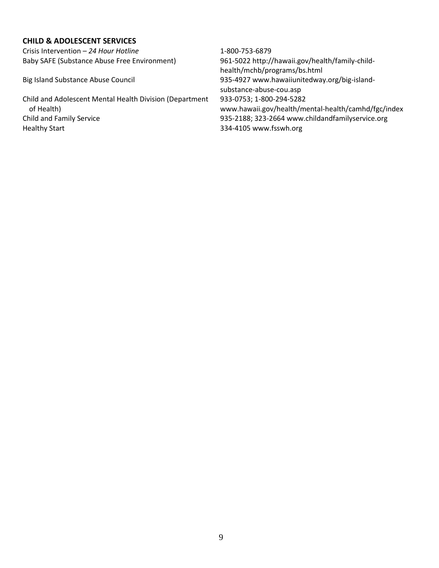#### **CHILD & ADOLESCENT SERVICES**

Crisis Intervention – *24 Hour Hotline* 1-800-753-6879

Child and Adolescent Mental Health Division (Department of Health) Child and Family Service 935-2188; 323-2664 [www.childandfamilyservice.org](http://www.childandfamilyservice.org/) Healthy Start **334-4105** [www.fsswh.org](http://www.fsswh.org/)

Baby SAFE (Substance Abuse Free Environment) 961-5022 [http://hawaii.gov/health/family-child](http://hawaii.gov/health/family-child-health/mchb/programs/bs.html)[health/mchb/programs/bs.html](http://hawaii.gov/health/family-child-health/mchb/programs/bs.html) Big Island Substance Abuse Council 935-4927 [www.hawaiiunitedway.org/big-island](http://www.hawaiiunitedway.org/big-island-substance-abuse-cou.asp)[substance-abuse-cou.asp](http://www.hawaiiunitedway.org/big-island-substance-abuse-cou.asp) 933-0753; 1-800-294-5282 [www.hawaii.gov/health/mental-health/camhd/fgc/index](http://www.hawaii.gov/health/mental-health/camhd/fgc/index)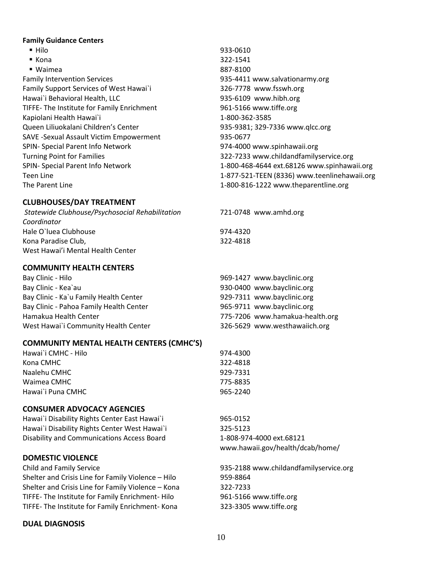#### **Family Guidance Centers**

■ Hilo 933-0610 ■ Kona 322-1541 ■ Waimea 887-8100 Family Intervention Services 935-4411 [www.salvationarmy.org](http://www.salvationarmy.org/) Family Support Services of West Hawai`i 326-7778 [www.fsswh.org](http://www.fsswh.org/) Hawai`i Behavioral Health, LLC 935-6109 [www.hibh.org](http://www.hibh.org/) TIFFE- The Institute for Family Enrichment 961-5166 [www.tiffe.org](http://www.tiffe.org/) Kapiolani Health Hawai`i 1-800-362-3585 Queen Liliuokalani Children's Center 935-9381; 329-7336 [www.qlcc.org](http://www.qlcc.org/) SAVE -Sexual Assault Victim Empowerment 935-0677 SPIN- Special Parent Info Network 1986 1986 1974-4000 [www.spinhawaii.org](http://www.spinhawaii.org/) Turning Point for Families 322-7233 [www.childandfamilyservice.org](http://www.childandfamilyservice.org/) SPIN- Special Parent Info Network 1-800-468-4644 ext.68126 [www.spinhawaii.org](http://www.spinhawaii.org/) Teen Line 1-877-521-TEEN (8336) [www.teenlinehawaii.org](http://www.teenlinehawaii.org/) The Parent Line 1-800-816-1222 [www.theparentline.org](http://www.theparentline.org/)

#### **CLUBHOUSES/DAY TREATMENT**

| Statewide Clubhouse/Psychosocial Rehabilitation | 721-0748 www.amhd.org |
|-------------------------------------------------|-----------------------|
| Coordinator                                     |                       |
| Hale O'luea Clubhouse                           | 974-4320              |
| Kona Paradise Club,                             | 322-4818              |
| West Hawai'i Mental Health Center               |                       |

#### **COMMUNITY HEALTH CENTERS**

| Bay Clinic - Hilo                       | 969-1427 www.bayclinic.org      |
|-----------------------------------------|---------------------------------|
| Bay Clinic - Kea`au                     | 930-0400 www.bayclinic.org      |
| Bay Clinic - Ka'u Family Health Center  | 929-7311 www.bayclinic.org      |
| Bay Clinic - Pahoa Family Health Center | 965-9711 www.bayclinic.org      |
| Hamakua Health Center                   | 775-7206 www.hamakua-health.org |
| West Hawai'i Community Health Center    | 326-5629 www.westhawaiich.org   |

#### **COMMUNITY MENTAL HEALTH CENTERS (CMHC'S)**

| Hawai`i CMHC - Hilo | 974-4300 |
|---------------------|----------|
| Kona CMHC           | 322-4818 |
| Naalehu CMHC        | 929-7331 |
| Waimea CMHC         | 775-8835 |
| Hawai`i Puna CMHC   | 965-2240 |
|                     |          |

#### **CONSUMER ADVOCACY AGENCIES**

| Hawai'i Disability Rights Center East Hawai'i | 965-0152  |
|-----------------------------------------------|-----------|
| Hawai`i Disability Rights Center West Hawai`i | 325-5123  |
| Disability and Communications Access Board    | 1-808-974 |

#### **DOMESTIC VIOLENCE**

Child and Family Service 935-2188 [www.childandfamilyservice.org](http://www.childandfamilyservice.org/) Shelter and Crisis Line for Family Violence – Hilo 959-8864 Shelter and Crisis Line for Family Violence – Kona 322-7233 TIFFE- The Institute for Family Enrichment- Hilo 961-5166 [www.tiffe.org](http://www.tiffe.org/) TIFFE- The Institute for Family Enrichment- Kona 323-3305 [www.tiffe.org](http://www.tiffe.org/)

#### **DUAL DIAGNOSIS**

Disability and Communications Access Board 1-808-974-4000 ext.68121 [www.hawaii.gov/health/dcab/home/](http://www.hawaii.gov/health/dcab/home/)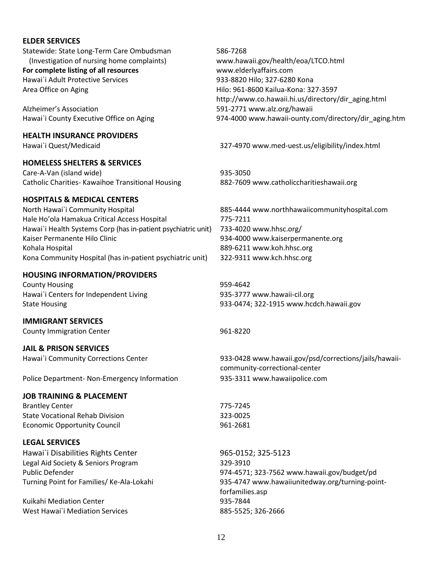#### **ELDER SERVICES**

Statewide: State Long-Term Care Ombudsman (Investigation of nursing home complaints) **For complete listing of all resources** 586-7268 [www.hawaii.gov/health/eoa/LTCO.html](http://www.hawaii.gov/health/eoa/LTCO.html)  [www.elderlyaffairs.com](http://www.elderlyaffairs.com/) Hawai`i Adult Protective Services 933-8820 Hilo; 327-6280 Kona Area Office on Aging **Hilo: 961-8600 Kailua-Kona: 327-3597** [http://www.co.hawaii.hi.us/directory/dir\\_aging.html](http://www.co.hawaii.hi.us/directory/dir_aging.html) Alzheimer's Association 591-277[1 www.alz.org/hawaii](http://www.alz.org/hawaii) Hawai`i County Executive Office on Aging 1974-400[0 www.hawaii-ounty.com/directory/dir\\_aging.htm](http://www.hawaii-ounty.com/directory/dir_aging.htm)

Hawai`i Quest/Medicaid 327-4970 [www.med-uest.us/eligibility/index.html](http://www.med-uest.us/eligibility/index.html)

State Housing 933-0474; 322-1915 [www.hcdch.hawaii.gov](http://www.hcdch.hawaii.gov/)

Hawai`i Community Corrections Center 1993-0428 [www.hawaii.gov/psd/corrections/jails/hawaii](http://www.hawaii.gov/psd/corrections/jails/hawaii-community-correctional-center)[community-correctional-center](http://www.hawaii.gov/psd/corrections/jails/hawaii-community-correctional-center)

Public Defender 974-4571; 323-7562 [www.hawaii.gov/budget/pd](http://www.hawaii.gov/budget/pd) Turning Point for Families/ Ke-Ala-Lokahi 935-4747 [www.hawaiiunitedway.org/turning-point](http://www.hawaiiunitedway.org/turning-point-forfamilies.asp)[forfamilies.asp](http://www.hawaiiunitedway.org/turning-point-forfamilies.asp)

#### **HEALTH INSURANCE PROVIDERS**

#### **HOMELESS SHELTERS & SERVICES**

Care-A-Van (island wide) 935-3050 Catholic Charities- Kawaihoe Transitional Housing 882-7609 [www.catholiccharitieshawaii.org](http://www.catholiccharitieshawaii.org/)

#### **HOSPITALS & MEDICAL CENTERS**

North Hawai`i Community Hospital 885-4444 [www.northhawaiicommunityhospital.com](http://www.northhawaiicommunityhospital.com/) Hale Ho'ola Hamakua Critical Access Hospital 775-7211 Hawai`i Health Systems Corp (has in-patient psychiatric unit) 733-4020 [www.hhsc.org/](http://www.hhsc.org/) Kaiser Permanente Hilo Clinic **Mateurs 2018** 934-4000 [www.kaiserpermanente.org](http://www.kaiserpermanente.org/) Kohala Hospital 889-6211 [www.koh.hhsc.org](http://www.koh.hhsc.org/) Kona Community Hospital (has in-patient psychiatric unit) 322-9311 [www.kch.hhsc.org](http://www.kch.hhsc.org/)

#### **HOUSING INFORMATION/PROVIDERS**

County Housing **Example 2018** 2019 12:30 12:30 12:30 12:30 12:30 12:30 12:30 12:30 12:30 12:30 12:30 12:30 12:30 12:30 12:30 12:30 12:30 12:30 12:30 12:30 12:30 12:30 12:30 12:30 12:30 12:30 12:30 12:30 12:30 12:30 12:30 1 Hawai`i Centers for Independent Living entitled as a series of 935-3777 [www.hawaii-cil.org](http://www.hawaii-cil.org/)

#### **IMMIGRANT SERVICES**

County Immigration Center **1961-8220** 

#### **JAIL & PRISON SERVICES**

Police Department- Non-Emergency Information 935-3311 [www.hawaiipolice.com](http://www.hawaiipolice.com/)

#### **JOB TRAINING & PLACEMENT**

Brantley Center 775-7245 State Vocational Rehab Division 323-0025 Economic Opportunity Council 1961-2681

#### **LEGAL SERVICES**

Hawai`i Disabilities Rights Center 965-0152; 325-5123 Legal Aid Society & Seniors Program 329-3910

Kuikahi Mediation Center 1935-7844 West Hawai`i Mediation Services 885-5525; 326-2666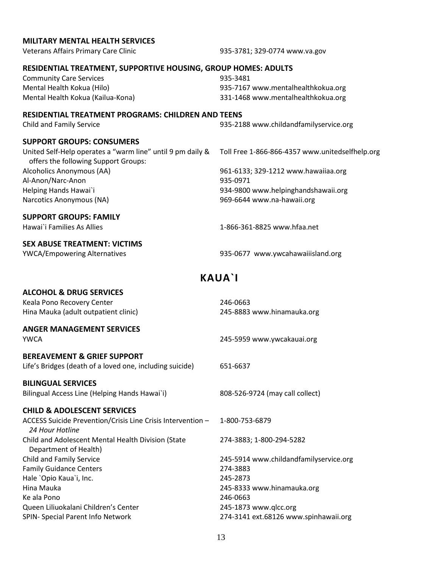# <span id="page-14-0"></span>**MILITARY MENTAL HEALTH SERVICES** Veterans Affairs Primary Care Clinic 935-3781; 329-0774 [www.va.gov](http://www.va.gov/) **RESIDENTIAL TREATMENT, SUPPORTIVE HOUSING, GROUP HOMES: ADULTS** Community Care Services **628 Community Care Services** 635-3481 Mental Health Kokua (Hilo) 935-7167 [www.mentalhealthkokua.org](http://www.mentalhealthkokua.org/) Mental Health Kokua (Kailua-Kona) 331-1468 [www.mentalhealthkokua.org](http://www.mentalhealthkokua.org/) **RESIDENTIAL TREATMENT PROGRAMS: CHILDREN AND TEENS** Child and Family Service 935-2188 [www.childandfamilyservice.org](http://www.childandfamilyservice.org/) **SUPPORT GROUPS: CONSUMERS** United Self-Help operates a "warm line" until 9 pm daily & offers the following Support Groups: Toll Free 1-866-866-4357 [www.unitedselfhelp.org](http://www.unitedselfhelp.org/) Alcoholics Anonymous (AA) 961-6133; 329-1212 [www.hawaiiaa.org](http://www.hawaiiaa.org/) Al-Anon/Narc-Anon 935-0971 Helping Hands Hawai`i 934-9800 [www.helpinghandshawaii.org](http://www.helpinghandshawaii.org/) Narcotics Anonymous (NA) 969-6644 [www.na-hawaii.org](http://www.na-hawaii.org/) **SUPPORT GROUPS: FAMILY** Hawai`i Families As Allies 1-866-361-8825 www.hfaa.net **SEX ABUSE TREATMENT: VICTIMS** YWCA/Empowering Alternatives 935-0677 [www.ywcahawaiiisland.org](http://www.ywcahawaiiisland.org/) **KAUA`I ALCOHOL & DRUG SERVICES** Keala Pono Recovery Center 246-0663 Hina Mauka (adult outpatient clinic) 245-8883 [www.hinamauka.org](http://www.hinamauka.org/) **ANGER MANAGEMENT SERVICES** YWCA 245-5959 [www.ywcakauai.org](http://www.ywcakauai.org/) **BEREAVEMENT & GRIEF SUPPORT** Life's Bridges (death of a loved one, including suicide) 651-6637 **BILINGUAL SERVICES** Bilingual Access Line (Helping Hands Hawai`i) 808-526-9724 (may call collect) **CHILD & ADOLESCENT SERVICES** ACCESS Suicide Prevention/Crisis Line Crisis Intervention – *24 Hour Hotline* 1-800-753-6879 Child and Adolescent Mental Health Division (State Department of Health) 274-3883; 1-800-294-5282 Child and Family Service 245-5914 [www.childandfamilyservice.org](http://www.childandfamilyservice.org/) Family Guidance Centers 274-3883 Hale `Opio Kaua`i, Inc. 245-2873 Hina Mauka 245-8333 [www.hinamauka.org](http://www.hinamauka.org/) Ke ala Pono 246-0663 Queen Liliuokalani Children's Center 245-1873 [www.qlcc.org](http://www.qlcc.org/) SPIN- Special Parent Info Network 274-3141 ext.68126 [www.spinhawaii.org](http://www.spinhawaii.org/)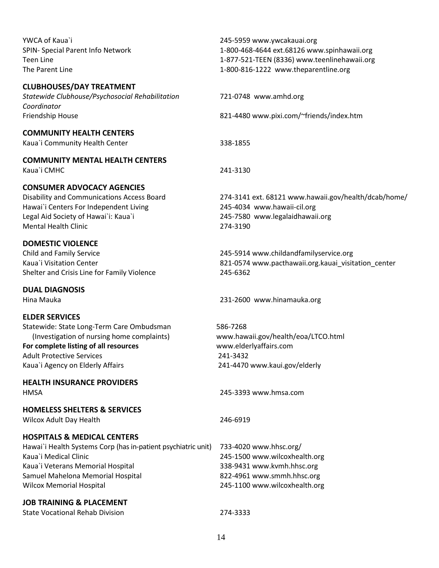| YWCA of Kaua`i<br>SPIN- Special Parent Info Network<br><b>Teen Line</b><br>The Parent Line                                                                                                                                                    | 245-5959 www.ywcakauai.org<br>1-800-468-4644 ext.68126 www.spinhawaii.org<br>1-877-521-TEEN (8336) www.teenlinehawaii.org<br>1-800-816-1222 www.theparentline.org |
|-----------------------------------------------------------------------------------------------------------------------------------------------------------------------------------------------------------------------------------------------|-------------------------------------------------------------------------------------------------------------------------------------------------------------------|
| <b>CLUBHOUSES/DAY TREATMENT</b><br>Statewide Clubhouse/Psychosocial Rehabilitation<br>Coordinator<br>Friendship House                                                                                                                         | 721-0748 www.amhd.org<br>821-4480 www.pixi.com/~friends/index.htm                                                                                                 |
| <b>COMMUNITY HEALTH CENTERS</b><br>Kaua'i Community Health Center                                                                                                                                                                             | 338-1855                                                                                                                                                          |
| <b>COMMUNITY MENTAL HEALTH CENTERS</b><br>Kaua'i CMHC                                                                                                                                                                                         | 241-3130                                                                                                                                                          |
| <b>CONSUMER ADVOCACY AGENCIES</b><br>Disability and Communications Access Board<br>Hawai'i Centers For Independent Living<br>Legal Aid Society of Hawai'i: Kaua'i<br><b>Mental Health Clinic</b>                                              | 274-3141 ext. 68121 www.hawaii.gov/health/dcab/home/<br>245-4034 www.hawaii-cil.org<br>245-7580 www.legalaidhawaii.org<br>274-3190                                |
| <b>DOMESTIC VIOLENCE</b><br><b>Child and Family Service</b><br>Kaua`i Visitation Center<br>Shelter and Crisis Line for Family Violence                                                                                                        | 245-5914 www.childandfamilyservice.org<br>821-0574 www.pacthawaii.org.kauai_visitation_center<br>245-6362                                                         |
| <b>DUAL DIAGNOSIS</b><br>Hina Mauka                                                                                                                                                                                                           | 231-2600 www.hinamauka.org                                                                                                                                        |
| <b>ELDER SERVICES</b><br>Statewide: State Long-Term Care Ombudsman<br>(Investigation of nursing home complaints)<br>For complete listing of all resources<br><b>Adult Protective Services</b><br>Kaua'i Agency on Elderly Affairs             | 586-7268<br>www.hawaii.gov/health/eoa/LTCO.html<br>www.elderlyaffairs.com<br>241-3432<br>241-4470 www.kaui.gov/elderly                                            |
| <b>HEALTH INSURANCE PROVIDERS</b><br><b>HMSA</b>                                                                                                                                                                                              | 245-3393 www.hmsa.com                                                                                                                                             |
| <b>HOMELESS SHELTERS &amp; SERVICES</b><br>Wilcox Adult Day Health                                                                                                                                                                            | 246-6919                                                                                                                                                          |
| <b>HOSPITALS &amp; MEDICAL CENTERS</b><br>Hawai`i Health Systems Corp (has in-patient psychiatric unit)<br>Kaua'i Medical Clinic<br>Kaua'i Veterans Memorial Hospital<br>Samuel Mahelona Memorial Hospital<br><b>Wilcox Memorial Hospital</b> | 733-4020 www.hhsc.org/<br>245-1500 www.wilcoxhealth.org<br>338-9431 www.kvmh.hhsc.org<br>822-4961 www.smmh.hhsc.org<br>245-1100 www.wilcoxhealth.org              |
| <b>JOB TRAINING &amp; PLACEMENT</b><br><b>State Vocational Rehab Division</b>                                                                                                                                                                 | 274-3333                                                                                                                                                          |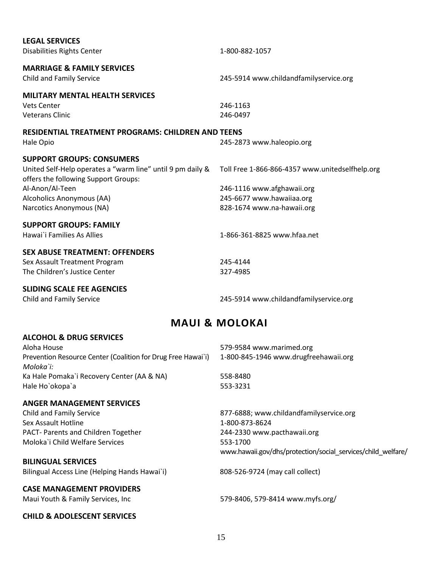| <b>LEGAL SERVICES</b>                                        |                                                 |
|--------------------------------------------------------------|-------------------------------------------------|
| <b>Disabilities Rights Center</b>                            | 1-800-882-1057                                  |
|                                                              |                                                 |
| <b>MARRIAGE &amp; FAMILY SERVICES</b>                        |                                                 |
| <b>Child and Family Service</b>                              | 245-5914 www.childandfamilyservice.org          |
| <b>MILITARY MENTAL HEALTH SERVICES</b>                       |                                                 |
| <b>Vets Center</b>                                           | 246-1163                                        |
| <b>Veterans Clinic</b>                                       | 246-0497                                        |
|                                                              |                                                 |
| <b>RESIDENTIAL TREATMENT PROGRAMS: CHILDREN AND TEENS</b>    |                                                 |
| Hale Opio                                                    | 245-2873 www.haleopio.org                       |
|                                                              |                                                 |
| <b>SUPPORT GROUPS: CONSUMERS</b>                             |                                                 |
| United Self-Help operates a "warm line" until 9 pm daily &   | Toll Free 1-866-866-4357 www.unitedselfhelp.org |
| offers the following Support Groups:                         |                                                 |
| Al-Anon/Al-Teen                                              | 246-1116 www.afghawaii.org                      |
| Alcoholics Anonymous (AA)                                    | 245-6677 www.hawaiiaa.org                       |
| Narcotics Anonymous (NA)                                     | 828-1674 www.na-hawaii.org                      |
| <b>SUPPORT GROUPS: FAMILY</b>                                |                                                 |
| Hawai`i Families As Allies                                   | 1-866-361-8825 www.hfaa.net                     |
|                                                              |                                                 |
| <b>SEX ABUSE TREATMENT: OFFENDERS</b>                        |                                                 |
| Sex Assault Treatment Program                                | 245-4144                                        |
| The Children's Justice Center                                | 327-4985                                        |
|                                                              |                                                 |
| <b>SLIDING SCALE FEE AGENCIES</b>                            |                                                 |
| Child and Family Service                                     | 245-5914 www.childandfamilyservice.org          |
|                                                              |                                                 |
|                                                              | <b>MAUI &amp; MOLOKAI</b>                       |
| <b>ALCOHOL &amp; DRUG SERVICES</b>                           |                                                 |
| Aloha House                                                  | 579-9584 www.marimed.org                        |
| Prevention Resource Center (Coalition for Drug Free Hawai`i) | 1-800-845-1946 www.drugfreehawaii.org           |
| Moloka`i:                                                    |                                                 |
| Ka Hale Pomaka'i Recovery Center (AA & NA)                   | 558-8480                                        |

#### **ANGER MANAGEMENT SERVICES**

<span id="page-16-0"></span>Hale Ho`okopa`a 553-3231

Child and Family Service Sex Assault Hotline PACT- Parents and Children Together 244-2330 [www.pacthawaii.org](http://www.pacthawaii.org/) Moloka`i Child Welfare Services 553-1700

#### **BILINGUAL SERVICES**

Bilingual Access Line (Helping Hands Hawai`i) 808-526-9724 (may call collect)

#### **CASE MANAGEMENT PROVIDERS**

#### **CHILD & ADOLESCENT SERVICES**

877-6888; [www.childandfamilyservice.org](http://www.childandfamilyservice.org/) 1-800-873-8624 [www.hawaii.gov/dhs/protection/social\\_services/child\\_welfare/](http://www.hawaii.gov/dhs/protection/social_services/child_welfare/)

Maui Youth & Family Services, Inc 579-8406, 579-841[4 www.myfs.org/](http://www.myfs.org/)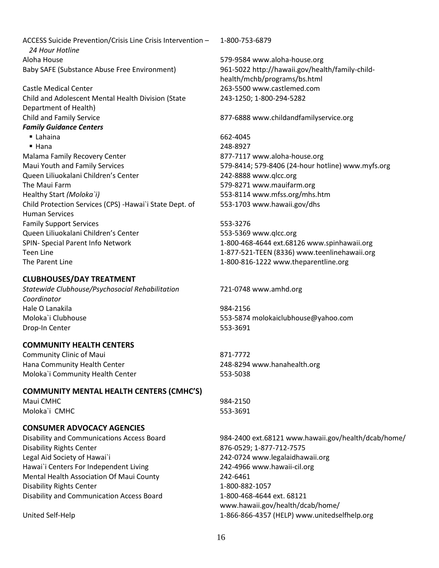ACCESS Suicide Prevention/Crisis Line Crisis Intervention – *24 Hour Hotline* Aloha House 579-9584 [www.aloha-house.org](http://www.aloha-house.org/)

Castle Medical Center 263-5500 [www.castlemed.com](http://www.castlemed.com/) Child and Adolescent Mental Health Division (State Department of Health) Child and Family Service 877-6888 [www.childandfamilyservice.org](http://www.childandfamilyservice.org/)

#### *Family Guidance Centers*

■ Lahaina 662-4045 ■ Hana 248-8927 Malama Family Recovery Center **877-7117** [www.aloha-house.org](http://www.aloha-house.org/) Maui Youth and Family Services 61 1992 12:33 129-8414; 579-8414; 579-8406 (24-hour hotline) [www.myfs.org](http://www.myfs.org/) Queen Liliuokalani Children's Center 242-8888 [www.qlcc.org](http://www.qlcc.org/) The Maui Farm 67 and 1990 and 1990 and 1990 and 1990 and 1990 and 1990 and 1990 and 1990 and 1990 and 1990 and 1990 and 1990 and 1990 and 1990 and 1990 and 1990 and 1990 and 1990 and 1990 and 1990 and 1990 and 1990 and 199 Healthy Start *(Moloka`i)* 553-8114 [www.mfss.org/mhs.htm](http://www.mfss.org/mhs.htm) Child Protection Services (CPS) -Hawai`i State Dept. of Human Services Family Support Services 553-3276 Queen Liliuokalani Children's Center 553-5369 [www.qlcc.org](http://www.qlcc.org/) SPIN- Special Parent Info Network 1-800-468-4644 ext.68126 [www.spinhawaii.org](http://www.spinhawaii.org/) Teen Line 1-877-521-TEEN (8336) [www.teenlinehawaii.org](http://www.teenlinehawaii.org/)

#### **CLUBHOUSES/DAY TREATMENT**

*Statewide Clubhouse/Psychosocial Rehabilitation Coordinator* Hale O Lanakila 984-2156 Moloka`i Clubhouse 553-5874 [molokaiclubhouse@yahoo.com](mailto:molokaiclubhouse@yahoo.com) Drop-In Center 553-3691

#### **COMMUNITY HEALTH CENTERS**

| Community Clinic of Maui         | 871-7772                    |
|----------------------------------|-----------------------------|
| Hana Community Health Center     | 248-8294 www.hanahealth.org |
| Moloka`i Community Health Center | 553-5038                    |

#### **COMMUNITY MENTAL HEALTH CENTERS (CMHC'S)**

| Maui CMHC     | 984-2150 |  |  |
|---------------|----------|--|--|
| Moloka`i CMHC | 553-3691 |  |  |

#### **CONSUMER ADVOCACY AGENCIES**

Disability Rights Center 876-0529; 1-877-712-7575 Legal Aid Society of Hawai`i 242-0724 [www.legalaidhawaii.org](http://www.legalaidhawaii.org/) Hawai`i Centers For Independent Living 242-4966 [www.hawaii-cil.org](http://www.hawaii-cil.org/) Mental Health Association Of Maui County 242-6461 Disability Rights Center 1-800-882-1057 Disability and Communication Access Board 1-800-468-4644 ext. 68121

1-800-753-6879

Baby SAFE (Substance Abuse Free Environment) 961-5022 [http://hawaii.gov/health/family-child](http://hawaii.gov/health/family-child-health/mchb/programs/bs.html)[health/mchb/programs/bs.html](http://hawaii.gov/health/family-child-health/mchb/programs/bs.html) 243-1250; 1-800-294-5282

553-1703 [www.hawaii.gov/dhs](http://www.hawaii.gov/dhs)

The Parent Line 1-800-816-1222 [www.theparentline.org](http://www.theparentline.org/)

#### 721-0748 [www.amhd.org](http://www.amhd.org/)

Disability and Communications Access Board 984-2400 ext.68121 [www.hawaii.gov/health/dcab/home/](http://www.hawaii.gov/health/dcab/home/) [www.hawaii.gov/health/dcab/home/](http://www.hawaii.gov/health/dcab/home/) United Self-Help 1-866-866-4357 (HELP[\) www.unitedselfhelp.org](http://www.unitedselfhelp.org/)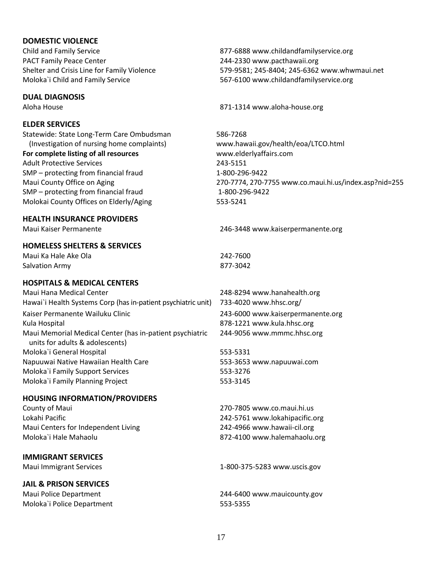#### **DOMESTIC VIOLENCE**

Child and Family Service 877-6888 [www.childandfamilyservice.org](http://www.childandfamilyservice.org/) PACT Family Peace Center 244-2330 [www.pacthawaii.org](http://www.pacthawaii.org/)

#### **DUAL DIAGNOSIS**

#### **ELDER SERVICES**

Statewide: State Long-Term Care Ombudsman (Investigation of nursing home complaints) **For complete listing of all resources** Adult Protective Services 243-5151 SMP – protecting from financial fraud 1-800-296-9422 SMP – protecting from financial fraud Molokai County Offices on Elderly/Aging

#### **HEALTH INSURANCE PROVIDERS**

#### **HOMELESS SHELTERS & SERVICES**

Maui Ka Hale Ake Ola 242-7600 Salvation Army 877-3042

#### **HOSPITALS & MEDICAL CENTERS**

| Maui Hana Medical Center                                                                    | 248-8294 www.hanahealth.org       |
|---------------------------------------------------------------------------------------------|-----------------------------------|
| Hawai`i Health Systems Corp (has in-patient psychiatric unit)                               | 733-4020 www.hhsc.org/            |
| Kaiser Permanente Wailuku Clinic                                                            | 243-6000 www.kaiserpermanente.org |
| Kula Hospital                                                                               | 878-1221 www.kula.hhsc.org        |
| Maui Memorial Medical Center (has in-patient psychiatric<br>units for adults & adolescents) | 244-9056 www.mmmc.hhsc.org        |
| Moloka'i General Hospital                                                                   | 553-5331                          |
| Napuuwai Native Hawaiian Health Care                                                        | 553-3653 www.napuuwai.com         |
| Moloka'i Family Support Services                                                            | 553-3276                          |
| Moloka'i Family Planning Project                                                            | 553-3145                          |

#### **HOUSING INFORMATION/PROVIDERS**

County of Maui 270-7805 [www.co.maui.hi.us](http://www.co.maui.hi.us/) Lokahi Pacific 242-5761 [www.lokahipacific.org](http://www.lokahipacific.org/) Maui Centers for Independent Living 242-4966 [www.hawaii-cil.org](http://www.hawaii-cil.org/) Moloka`i Hale Mahaolu 872-4100 [www.halemahaolu.org](http://www.halemahaolu.org/)

#### **IMMIGRANT SERVICES**

#### **JAIL & PRISON SERVICES**

Moloka`i Police Department 553-5355

Shelter and Crisis Line for Family Violence 579-9581; 245-8404; 245-6362 [www.whwmaui.net](http://www.whwmaui.net/) Moloka`i Child and Family Service 567-6100 [www.childandfamilyservice.org](http://www.childandfamilyservice.org/)

Aloha House 871-1314 [www.aloha-house.org](http://www.aloha-house.org/)

586-7268 [www.hawaii.gov/health/eoa/LTCO.html](http://www.hawaii.gov/health/eoa/LTCO.html)  [www.elderlyaffairs.com](http://www.elderlyaffairs.com/) Maui County Office on Aging 270-7774, 270-7755 [www.co.maui.hi.us/index.asp?nid=255](http://www.co.maui.hi.us/index.asp?nid=255) 1-800-296-9422 553-5241

#### Maui Kaiser Permanente 246-3448 [www.kaiserpermanente.org](http://www.kaiserpermanente.org/)

Maui Immigrant Services 1-800-375-5283 [www.uscis.gov](http://www.uscis.gov/)

Maui Police Department 244-6400 [www.mauicounty.gov](http://www.mauicounty.gov/)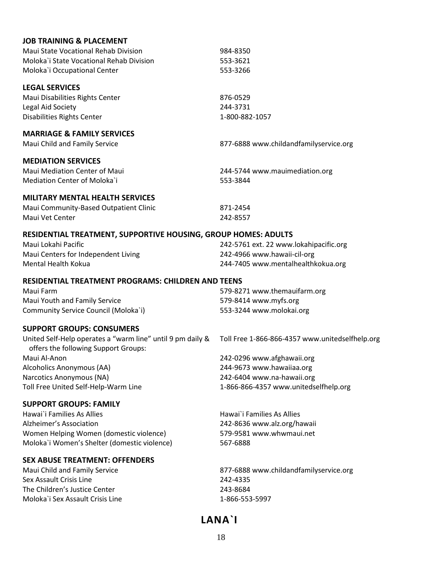| <b>JOB TRAINING &amp; PLACEMENT</b>                            |                                                 |
|----------------------------------------------------------------|-------------------------------------------------|
| Maui State Vocational Rehab Division                           | 984-8350                                        |
| Moloka'i State Vocational Rehab Division                       | 553-3621                                        |
| Moloka'i Occupational Center                                   | 553-3266                                        |
| <b>LEGAL SERVICES</b>                                          |                                                 |
| Maui Disabilities Rights Center                                | 876-0529                                        |
| Legal Aid Society                                              | 244-3731                                        |
| <b>Disabilities Rights Center</b>                              | 1-800-882-1057                                  |
| <b>MARRIAGE &amp; FAMILY SERVICES</b>                          |                                                 |
|                                                                |                                                 |
| Maui Child and Family Service                                  | 877-6888 www.childandfamilyservice.org          |
| <b>MEDIATION SERVICES</b>                                      |                                                 |
| Maui Mediation Center of Maui                                  | 244-5744 www.mauimediation.org                  |
| Mediation Center of Moloka'i                                   | 553-3844                                        |
| <b>MILITARY MENTAL HEALTH SERVICES</b>                         |                                                 |
| Maui Community-Based Outpatient Clinic                         | 871-2454                                        |
| Maui Vet Center                                                | 242-8557                                        |
| RESIDENTIAL TREATMENT, SUPPORTIVE HOUSING, GROUP HOMES: ADULTS |                                                 |
| Maui Lokahi Pacific                                            | 242-5761 ext. 22 www.lokahipacific.org          |
| Maui Centers for Independent Living                            | 242-4966 www.hawaii-cil-org                     |
| Mental Health Kokua                                            | 244-7405 www.mentalhealthkokua.org              |
|                                                                |                                                 |
| <b>RESIDENTIAL TREATMENT PROGRAMS: CHILDREN AND TEENS</b>      |                                                 |
| Maui Farm                                                      | 579-8271 www.themauifarm.org                    |
| Maui Youth and Family Service                                  | 579-8414 www.myfs.org                           |
| Community Service Council (Moloka`i)                           | 553-3244 www.molokai.org                        |
| <b>SUPPORT GROUPS: CONSUMERS</b>                               |                                                 |
| United Self-Help operates a "warm line" until 9 pm daily &     | Toll Free 1-866-866-4357 www.unitedselfhelp.org |
| offers the following Support Groups:                           |                                                 |
| Maui Al-Anon                                                   | 242-0296 www.afghawaii.org                      |
| Alcoholics Anonymous (AA)                                      | 244-9673 www.hawaiiaa.org                       |
| Narcotics Anonymous (NA)                                       | 242-6404 www.na-hawaii.org                      |
| Toll Free United Self-Help-Warm Line                           | 1-866-866-4357 www.unitedselfhelp.org           |
| <b>SUPPORT GROUPS: FAMILY</b>                                  |                                                 |
| Hawai`i Families As Allies                                     | Hawai`i Families As Allies                      |
| Alzheimer's Association                                        | 242-8636 www.alz.org/hawaii                     |
| Women Helping Women (domestic violence)                        | 579-9581 www.whwmaui.net                        |
| Moloka`i Women's Shelter (domestic violence)                   | 567-6888                                        |
| <b>SEX ABUSE TREATMENT: OFFENDERS</b>                          |                                                 |
| Maui Child and Family Service                                  | 877-6888 www.childandfamilyservice.org          |
| Sex Assault Crisis Line                                        | 242-4335                                        |
| The Children's Justice Center                                  | 243-8684                                        |
| Moloka'i Sex Assault Crisis Line                               |                                                 |
|                                                                | 1-866-553-5997                                  |
|                                                                |                                                 |

# <span id="page-19-0"></span>**LANA`I**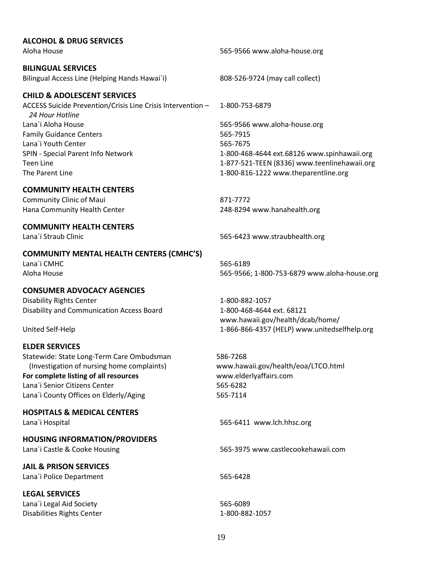#### **ALCOHOL & DRUG SERVICES**

#### **BILINGUAL SERVICES**

Bilingual Access Line (Helping Hands Hawai`i) 808-526-9724 (may call collect)

#### **CHILD & ADOLESCENT SERVICES**

ACCESS Suicide Prevention/Crisis Line Crisis Intervention – *24 Hour Hotline* Lana`i Aloha House 565-9566 [www.aloha-house.org](http://www.aloha-house.org/) Family Guidance Centers 565-7915 Lana`i Youth Center 565-7675 SPIN - Special Parent Info Network 1-800-468-4644 ext.68126 [www.spinhawaii.org](http://www.spinhawaii.org/) Teen Line 1-877-521-TEEN (8336) [www.teenlinehawaii.org](http://www.teenlinehawaii.org/) The Parent Line 1-800-816-1222 [www.theparentline.org](http://www.theparentline.org/)

#### **COMMUNITY HEALTH CENTERS**

Community Clinic of Maui 871-7772 Hana Community Health Center 248-8294 [www.hanahealth.org](http://www.hanahealth.org/)

#### **COMMUNITY HEALTH CENTERS**

#### **COMMUNITY MENTAL HEALTH CENTERS (CMHC'S)** Lana`i CMHC 565-6189

#### **CONSUMER ADVOCACY AGENCIES**

Disability Rights Center 1-800-882-1057 Disability and Communication Access Board 1-800-468-4644 ext. 68121

#### **ELDER SERVICES**

Statewide: State Long-Term Care Ombudsman (Investigation of nursing home complaints) **For complete listing of all resources** Lana`i Senior Citizens Center 565-6282 Lana`i County Offices on Elderly/Aging 565-7114

**HOSPITALS & MEDICAL CENTERS**

**HOUSING INFORMATION/PROVIDERS**

**JAIL & PRISON SERVICES** Lana`i Police Department 565-6428

# **LEGAL SERVICES**

Lana`i Legal Aid Society **565-6089** Disabilities Rights Center 1-800-882-1057

Aloha House 565-9566 [www.aloha-house.org](http://www.aloha-house.org/)

1-800-753-6879

Lana`i Straub Clinic 565-6423 [www.straubhealth.org](http://www.straubhealth.org/)

Aloha House 565-9566; 1-800-753-6879 [www.aloha-house.org](http://www.aloha-house.org/)

[www.hawaii.gov/health/dcab/home/](http://www.hawaii.gov/health/dcab/home/) United Self-Help 1-866-866-4357 (HELP[\) www.unitedselfhelp.org](http://www.unitedselfhelp.org/)

> 586-7268 [www.hawaii.gov/health/eoa/LTCO.html](http://www.hawaii.gov/health/eoa/LTCO.html)  [www.elderlyaffairs.com](http://www.elderlyaffairs.com/)

Lana`i Hospital 565-6411 [www.lch.hhsc.org](http://www.lch.hhsc.org/)

Lana`i Castle & Cooke Housing 565-3975 [www.castlecookehawaii.com](http://www.castlecookehawaii.com/)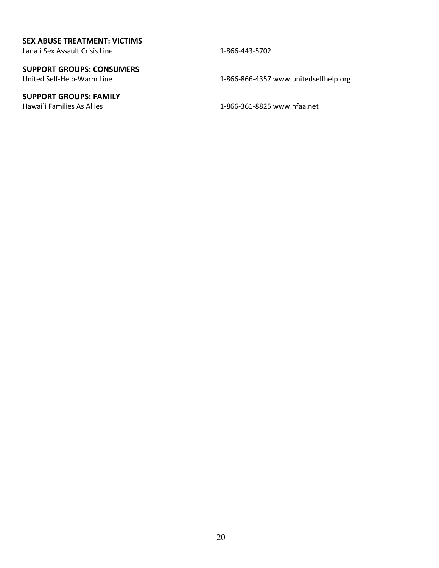#### **SEX ABUSE TREATMENT: VICTIMS**

Lana`i Sex Assault Crisis Line 1-866-443-5702

### **SUPPORT GROUPS: CONSUMERS**

### **SUPPORT GROUPS: FAMILY**

United Self-Help-Warm Line 1-866-866-4357 [www.unitedselfhelp.org](http://www.unitedselfhelp.org/)

Hawai`i Families As Allies 1-866-361-8825 [www.hfaa.net](http://www.hfaa.net/)